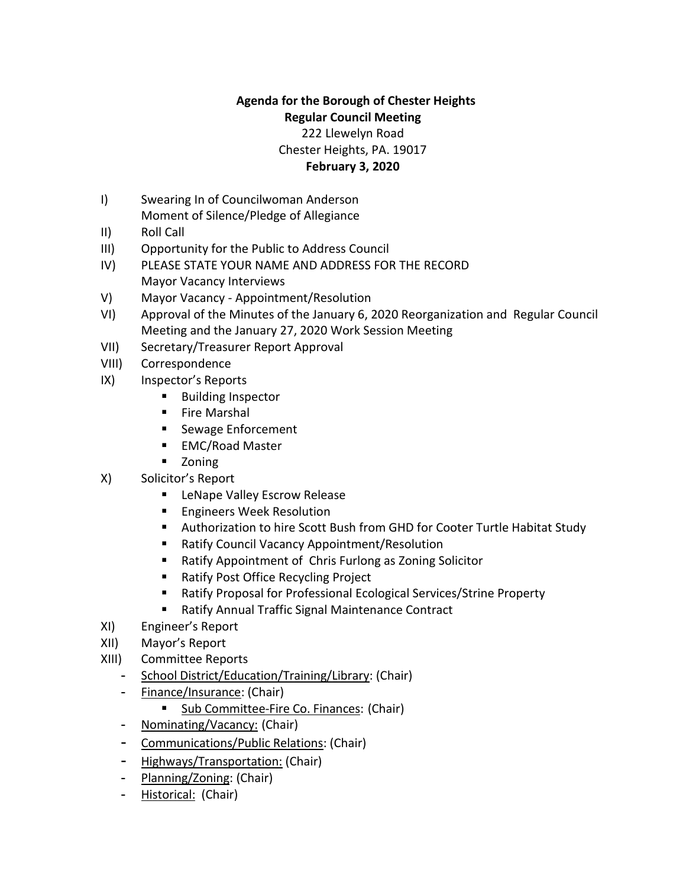## **Agenda for the Borough of Chester Heights Regular Council Meeting**

222 Llewelyn Road

Chester Heights, PA. 19017

## **February 3, 2020**

- I) Swearing In of Councilwoman Anderson Moment of Silence/Pledge of Allegiance
- II) Roll Call
- III) Opportunity for the Public to Address Council
- IV) PLEASE STATE YOUR NAME AND ADDRESS FOR THE RECORD Mayor Vacancy Interviews
- V) Mayor Vacancy Appointment/Resolution
- VI) Approval of the Minutes of the January 6, 2020 Reorganization and Regular Council Meeting and the January 27, 2020 Work Session Meeting
- VII) Secretary/Treasurer Report Approval
- VIII) Correspondence
- IX) Inspector's Reports
	- **Building Inspector**
	- **Fire Marshal**
	- Sewage Enforcement
	- EMC/Road Master
	- **E** Zoning
- X) Solicitor's Report
	- **EXECTED Valley Escrow Release**
	- **Engineers Week Resolution**
	- Authorization to hire Scott Bush from GHD for Cooter Turtle Habitat Study
	- Ratify Council Vacancy Appointment/Resolution
	- Ratify Appointment of Chris Furlong as Zoning Solicitor
	- Ratify Post Office Recycling Project
	- Ratify Proposal for Professional Ecological Services/Strine Property
	- Ratify Annual Traffic Signal Maintenance Contract
- XI) Engineer's Report
- XII) Mayor's Report
- XIII) Committee Reports
	- School District/Education/Training/Library: (Chair)
	- Finance/Insurance: (Chair)
		- **Sub Committee-Fire Co. Finances: (Chair)**
	- Nominating/Vacancy: (Chair)
	- Communications/Public Relations: (Chair)
	- Highways/Transportation: (Chair)
	- Planning/Zoning: (Chair)
	- Historical: (Chair)